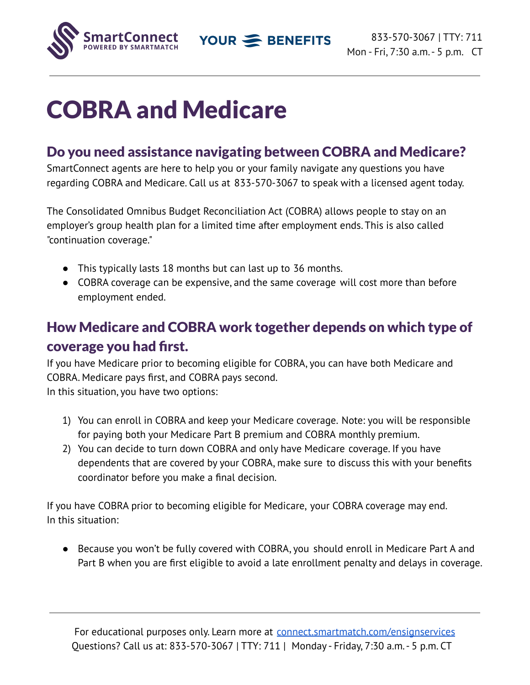YOUR SENEFITS



## COBRA and Medicare

## Do you need assistance navigating between COBRA and Medicare?

SmartConnect agents are here to help you or your family navigate any questions you have regarding COBRA and Medicare. Call us at 833-570-3067 to speak with a licensed agent today.

The Consolidated Omnibus Budget Reconciliation Act (COBRA) allows people to stay on an employer's group health plan for a limited time after employment ends. This is also called "continuation coverage."

- This typically lasts 18 months but can last up to 36 months.
- COBRA coverage can be expensive, and the same coverage will cost more than before employment ended.

## How Medicare and COBRA work together depends on which type of coverage you had first.

If you have Medicare prior to becoming eligible for COBRA, you can have both Medicare and COBRA. Medicare pays first, and COBRA pays second. In this situation, you have two options:

- 1) You can enroll in COBRA and keep your Medicare coverage. Note: you will be responsible for paying both your Medicare Part B premium and COBRA monthly premium.
- 2) You can decide to turn down COBRA and only have Medicare coverage. If you have dependents that are covered by your COBRA, make sure to discuss this with your benefits coordinator before you make a final decision.

If you have COBRA prior to becoming eligible for Medicare, your COBRA coverage may end. In this situation:

● Because you won't be fully covered with COBRA, you should enroll in Medicare Part A and Part B when you are first eligible to avoid a late enrollment penalty and delays in coverage.